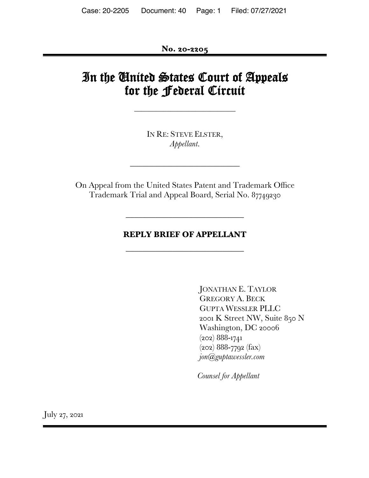**No. 20-2205**

# In the United States Court of Appeals for the Federal Circuit

\_\_\_\_\_\_\_\_\_\_\_\_\_\_\_\_\_\_\_\_\_\_\_\_\_\_\_\_

IN RE: STEVE ELSTER, *Appellant*.

\_\_\_\_\_\_\_\_\_\_\_\_\_\_\_\_\_\_\_\_\_\_\_\_\_\_

On Appeal from the United States Patent and Trademark Office Trademark Trial and Appeal Board, Serial No. 87749230

### **REPLY BRIEF OF APPELLANT**

 $\overline{\phantom{a}}$  , where  $\overline{\phantom{a}}$  , where  $\overline{\phantom{a}}$  , where  $\overline{\phantom{a}}$ 

 $\overline{\phantom{a}}$  , where  $\overline{\phantom{a}}$  , where  $\overline{\phantom{a}}$  , where  $\overline{\phantom{a}}$ 

JONATHAN E. TAYLOR GREGORY A. BECK GUPTA WESSLER PLLC 2001 K Street NW, Suite 850 N Washington, DC 20006 (202) 888-1741  $(202) 888 - 7792$  (fax) *jon@guptawessler.com*

*Counsel for Appellant*

July 27, 2021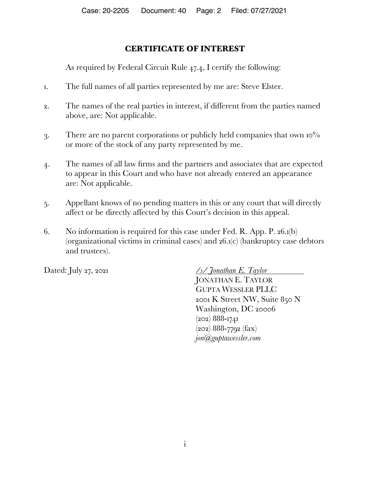## **CERTIFICATE OF INTEREST**

As required by Federal Circuit Rule 47.4, I certify the following:

- 1. The full names of all parties represented by me are: Steve Elster.
- 2. The names of the real parties in interest, if different from the parties named above, are: Not applicable.
- 3. There are no parent corporations or publicly held companies that own 10% or more of the stock of any party represented by me.
- 4. The names of all law firms and the partners and associates that are expected to appear in this Court and who have not already entered an appearance are: Not applicable.
- 5. Appellant knows of no pending matters in this or any court that will directly affect or be directly affected by this Court's decision in this appeal.
- 6. No information is required for this case under Fed. R. App. P. 26.1(b) (organizational victims in criminal cases) and 26.1(c) (bankruptcy case debtors and trustees).

Dated: July 27, 2021 */s/ Jonathan E. Taylor* JONATHAN E. TAYLOR GUPTA WESSLER PLLC 2001 K Street NW, Suite 850 N Washington, DC 20006 (202) 888-1741 (202) 888-7792 (fax) *jon@guptawessler.com*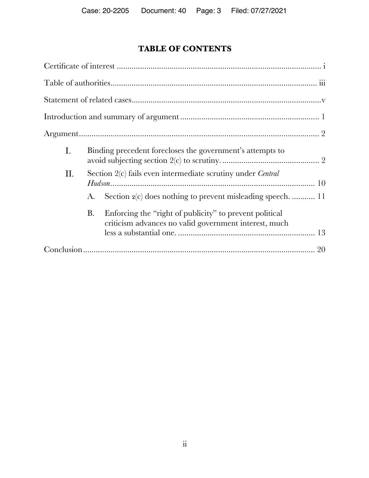## **TABLE OF CONTENTS**

| Ι.  | Binding precedent forecloses the government's attempts to          |                                                                                                                  |  |
|-----|--------------------------------------------------------------------|------------------------------------------------------------------------------------------------------------------|--|
| II. | Section 2(c) fails even intermediate scrutiny under <i>Central</i> |                                                                                                                  |  |
|     | A.                                                                 | Section 2(c) does nothing to prevent misleading speech.  11                                                      |  |
|     | Β.                                                                 | Enforcing the "right of publicity" to prevent political<br>criticism advances no valid government interest, much |  |
|     |                                                                    |                                                                                                                  |  |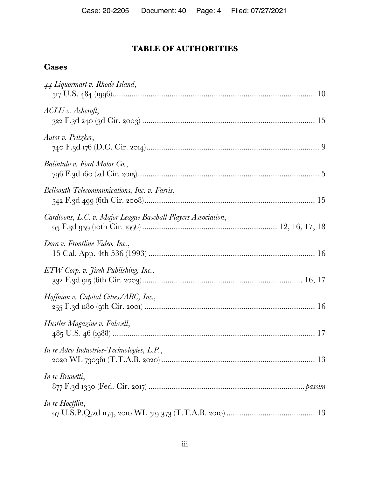## **TABLE OF AUTHORITIES**

## **Cases**

| 44 Liquormart v. Rhode Island,                                |
|---------------------------------------------------------------|
| $ACLU$ v. Ashcroft,                                           |
| Autor v. Pritzker,                                            |
| Balintulo v. Ford Motor Co.,                                  |
| Bellsouth Telecommunications, Inc. v. Farris,                 |
| Cardtoons, L.C. v. Major League Baseball Players Association, |
| Dora v. Frontline Video, Inc.,                                |
| ETW Corp. v. Jireh Publishing, Inc.,                          |
| Hoffman v. Capital Cities/ABC, Inc.,                          |
| Hustler Magazine v. Falwell,                                  |
| In re Adco Industries-Technologies, L.P.,                     |
| In re Brunetti,                                               |
| In re Hoefflin,                                               |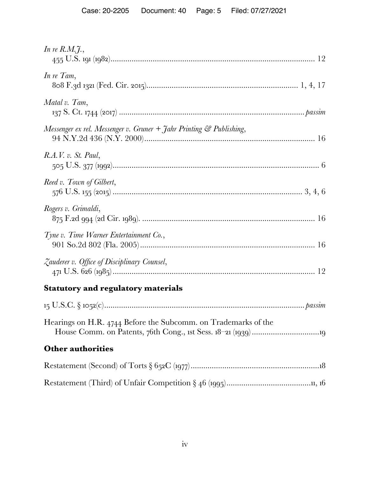| In re $R.M.\tilde{J}$ ,                                                           |
|-----------------------------------------------------------------------------------|
| In re Tam,                                                                        |
| Matal v. Tam,                                                                     |
| Messenger ex rel. Messenger v. Gruner $+$ Jahr Printing $\mathcal{C}$ Publishing, |
| R.A.V. v. St. Paul,                                                               |
| Reed v. Town of Gilbert,                                                          |
| Rogers v. Grimaldi,                                                               |
| Tyne v. Time Warner Entertainment Co.,                                            |
| Zauderer v. Office of Disciplinary Counsel,                                       |
| <b>Statutory and regulatory materials</b>                                         |
|                                                                                   |
| Hearings on H.R. 4744 Before the Subcomm. on Trademarks of the                    |
| <b>Other authorities</b>                                                          |
|                                                                                   |
|                                                                                   |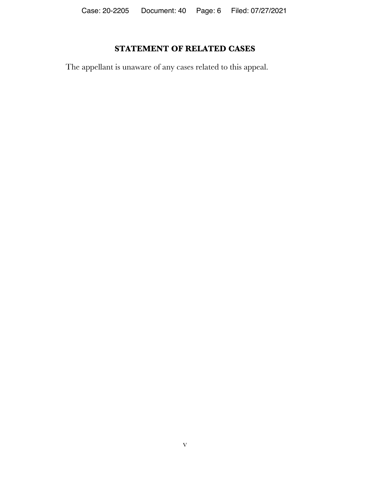## **STATEMENT OF RELATED CASES**

The appellant is unaware of any cases related to this appeal.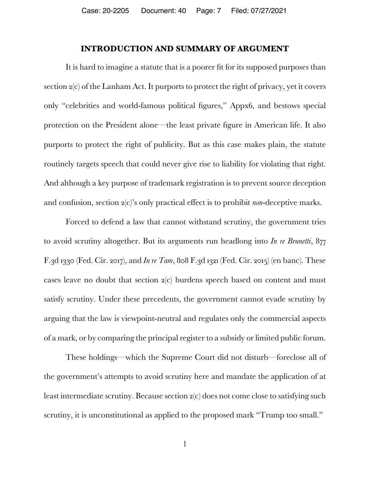### **INTRODUCTION AND SUMMARY OF ARGUMENT**

It is hard to imagine a statute that is a poorer fit for its supposed purposes than section 2(c) of the Lanham Act. It purports to protect the right of privacy, yet it covers only "celebrities and world-famous political figures," Appx6, and bestows special protection on the President alone—the least private figure in American life. It also purports to protect the right of publicity. But as this case makes plain, the statute routinely targets speech that could never give rise to liability for violating that right. And although a key purpose of trademark registration is to prevent source deception and confusion, section 2(c)'s only practical effect is to prohibit *non*-deceptive marks.

Forced to defend a law that cannot withstand scrutiny, the government tries to avoid scrutiny altogether. But its arguments run headlong into *In re Brunetti*, 877 F.3d 1330 (Fed. Cir. 2017), and *In re Tam*, 808 F.3d 1321 (Fed. Cir. 2015) (en banc). These cases leave no doubt that section 2(c) burdens speech based on content and must satisfy scrutiny. Under these precedents, the government cannot evade scrutiny by arguing that the law is viewpoint-neutral and regulates only the commercial aspects of a mark, or by comparing the principal register to a subsidy or limited public forum.

These holdings—which the Supreme Court did not disturb—foreclose all of the government's attempts to avoid scrutiny here and mandate the application of at least intermediate scrutiny. Because section 2(c) does not come close to satisfying such scrutiny, it is unconstitutional as applied to the proposed mark "Trump too small."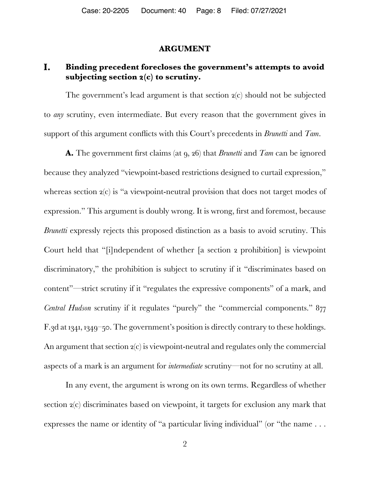#### **ARGUMENT**

#### I. **Binding precedent forecloses the government's attempts to avoid subjecting section 2(c) to scrutiny.**

The government's lead argument is that section 2(c) should not be subjected to *any* scrutiny, even intermediate. But every reason that the government gives in support of this argument conflicts with this Court's precedents in *Brunetti* and *Tam*.

**A.** The government first claims (at 9, 26) that *Brunetti* and *Tam* can be ignored because they analyzed "viewpoint-based restrictions designed to curtail expression," whereas section  $2(c)$  is "a viewpoint-neutral provision that does not target modes of expression." This argument is doubly wrong. It is wrong, first and foremost, because *Brunetti* expressly rejects this proposed distinction as a basis to avoid scrutiny. This Court held that "[i]ndependent of whether [a section 2 prohibition] is viewpoint discriminatory," the prohibition is subject to scrutiny if it "discriminates based on content"—strict scrutiny if it "regulates the expressive components" of a mark, and *Central Hudson* scrutiny if it regulates "purely" the "commercial components." 877 F.3d at 1341, 1349–50. The government's position is directly contrary to these holdings. An argument that section 2(c) is viewpoint-neutral and regulates only the commercial aspects of a mark is an argument for *intermediate* scrutiny—not for no scrutiny at all.

In any event, the argument is wrong on its own terms. Regardless of whether section 2(c) discriminates based on viewpoint, it targets for exclusion any mark that expresses the name or identity of "a particular living individual" (or "the name . . .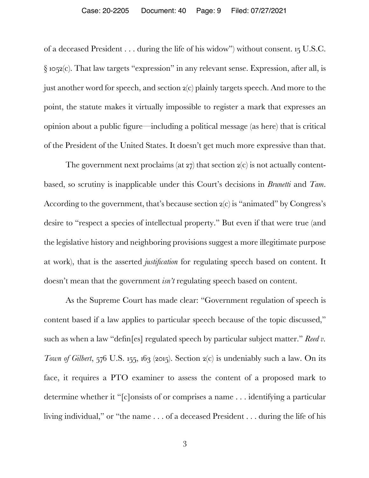#### Case: 20-2205 Document: 40 Page: 9 Filed: 07/27/2021

of a deceased President . . . during the life of his widow") without consent. 15 U.S.C.  $\S$  1052(c). That law targets "expression" in any relevant sense. Expression, after all, is just another word for speech, and section 2(c) plainly targets speech. And more to the point, the statute makes it virtually impossible to register a mark that expresses an opinion about a public figure—including a political message (as here) that is critical of the President of the United States. It doesn't get much more expressive than that.

The government next proclaims (at  $27$ ) that section  $2(c)$  is not actually contentbased, so scrutiny is inapplicable under this Court's decisions in *Brunetti* and *Tam*. According to the government, that's because section 2(c) is "animated" by Congress's desire to "respect a species of intellectual property." But even if that were true (and the legislative history and neighboring provisions suggest a more illegitimate purpose at work), that is the asserted *justification* for regulating speech based on content. It doesn't mean that the government *isn't* regulating speech based on content.

As the Supreme Court has made clear: "Government regulation of speech is content based if a law applies to particular speech because of the topic discussed," such as when a law "defin[es] regulated speech by particular subject matter." *Reed v. Town of Gilbert*, 576 U.S. 155, 163 (2015). Section  $2(c)$  is undeniably such a law. On its face, it requires a PTO examiner to assess the content of a proposed mark to determine whether it "[c]onsists of or comprises a name . . . identifying a particular living individual," or "the name . . . of a deceased President . . . during the life of his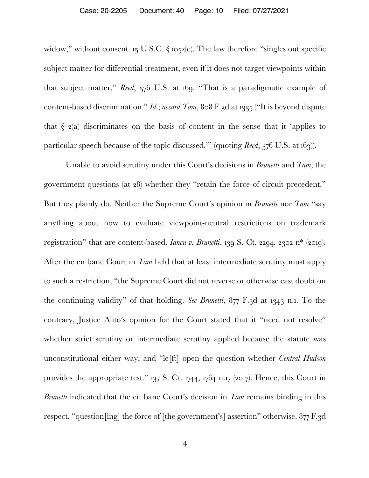widow," without consent. 15 U.S.C. § 1052(c). The law therefore "singles out specific subject matter for differential treatment, even if it does not target viewpoints within that subject matter." *Reed*, 576 U.S. at 169. "That is a paradigmatic example of content-based discrimination." *Id.*; *accord Tam*, 808 F.3d at 1335 ("It is beyond dispute that  $\S$  2(a) discriminates on the basis of content in the sense that it 'applies to particular speech because of the topic discussed.'" (quoting *Reed*, 576 U.S. at 163)).

Unable to avoid scrutiny under this Court's decisions in *Brunetti* and *Tam*, the government questions (at 28) whether they "retain the force of circuit precedent." But they plainly do. Neither the Supreme Court's opinion in *Brunetti* nor *Tam* "say anything about how to evaluate viewpoint-neutral restrictions on trademark registration" that are content-based. *Iancu v. Brunetti*, 139 S. Ct. 2294, 2302 n\* (2019). After the en banc Court in *Tam* held that at least intermediate scrutiny must apply to such a restriction, "the Supreme Court did not reverse or otherwise cast doubt on the continuing validity" of that holding. *See Brunetti*, 877 F.3d at 1343 n.1. To the contrary, Justice Alito's opinion for the Court stated that it "need not resolve" whether strict scrutiny or intermediate scrutiny applied because the statute was unconstitutional either way, and "le[ft] open the question whether *Central Hudson* provides the appropriate test." 137 S. Ct. 1744, 1764 n.17 (2017). Hence, this Court in *Brunetti* indicated that the en banc Court's decision in *Tam* remains binding in this respect, "question[ing] the force of [the government's] assertion" otherwise. 877 F.3d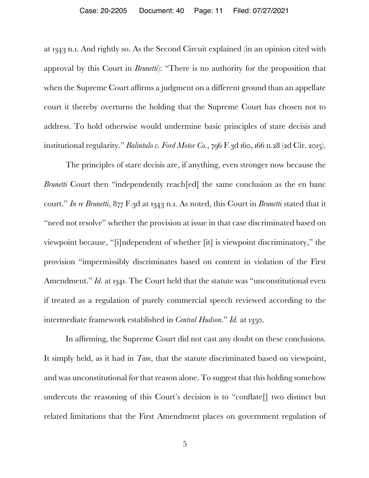at 1343 n.1. And rightly so. As the Second Circuit explained (in an opinion cited with approval by this Court in *Brunetti*): "There is no authority for the proposition that when the Supreme Court affirms a judgment on a different ground than an appellate court it thereby overturns the holding that the Supreme Court has chosen not to address. To hold otherwise would undermine basic principles of stare decisis and institutional regularity." *Balintulo v. Ford Motor Co.*, 796 F.3d 160, 166 n.28 (2d Cir. 2015).

The principles of stare decisis are, if anything, even stronger now because the *Brunetti* Court then "independently reach [ed] the same conclusion as the en banc court." *In re Brunetti*, 877 F.3d at 1343 n.1. As noted, this Court in *Brunetti* stated that it "need not resolve" whether the provision at issue in that case discriminated based on viewpoint because, "[i]ndependent of whether [it] is viewpoint discriminatory," the provision "impermissibly discriminates based on content in violation of the First Amendment." *Id.* at 1341. The Court held that the statute was "unconstitutional even if treated as a regulation of purely commercial speech reviewed according to the intermediate framework established in *Central Hudson*." *Id.* at 1350.

In affirming, the Supreme Court did not cast any doubt on these conclusions. It simply held, as it had in *Tam*, that the statute discriminated based on viewpoint, and was unconstitutional for that reason alone. To suggest that this holding somehow undercuts the reasoning of this Court's decision is to "conflate<sup>[]</sup> two distinct but related limitations that the First Amendment places on government regulation of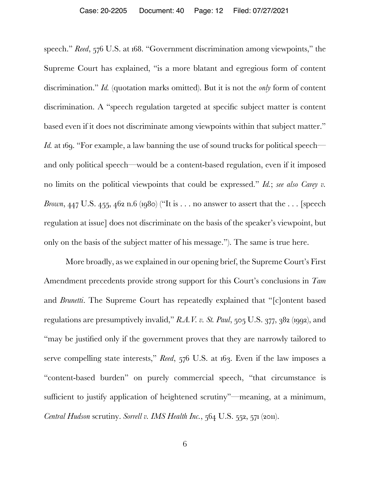speech." *Reed*, 576 U.S. at 168. "Government discrimination among viewpoints," the Supreme Court has explained, "is a more blatant and egregious form of content discrimination." *Id.* (quotation marks omitted). But it is not the *only* form of content discrimination. A "speech regulation targeted at specific subject matter is content based even if it does not discriminate among viewpoints within that subject matter." *Id.* at 169. "For example, a law banning the use of sound trucks for political speech and only political speech—would be a content-based regulation, even if it imposed no limits on the political viewpoints that could be expressed." *Id.*; *see also Carey v. Brown*, 447 U.S. 455, 462 n.6 (1980) ("It is . . . no answer to assert that the . . . [speech regulation at issue] does not discriminate on the basis of the speaker's viewpoint, but only on the basis of the subject matter of his message."). The same is true here.

More broadly, as we explained in our opening brief, the Supreme Court's First Amendment precedents provide strong support for this Court's conclusions in *Tam*  and *Brunetti*. The Supreme Court has repeatedly explained that "[c]ontent based regulations are presumptively invalid," *R.A.V. v. St. Paul*, 505 U.S. 377, 382 (1992), and "may be justified only if the government proves that they are narrowly tailored to serve compelling state interests," *Reed*, 576 U.S. at 163. Even if the law imposes a "content-based burden" on purely commercial speech, "that circumstance is sufficient to justify application of heightened scrutiny"—meaning, at a minimum, *Central Hudson* scrutiny. *Sorrell v. IMS Health Inc.*, 564 U.S. 552, 571 (2011).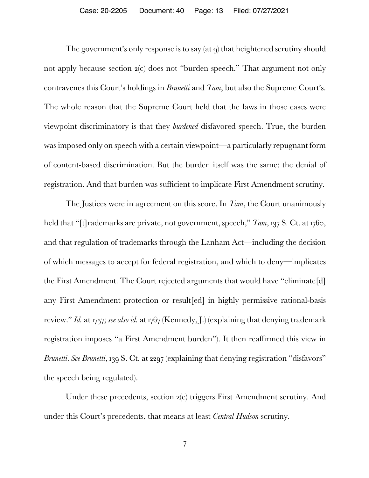The government's only response is to say (at q) that heightened scrutiny should not apply because section 2(c) does not "burden speech." That argument not only contravenes this Court's holdings in *Brunetti* and *Tam*, but also the Supreme Court's. The whole reason that the Supreme Court held that the laws in those cases were viewpoint discriminatory is that they *burdened* disfavored speech. True, the burden was imposed only on speech with a certain viewpoint—a particularly repugnant form of content-based discrimination. But the burden itself was the same: the denial of registration. And that burden was sufficient to implicate First Amendment scrutiny.

The Justices were in agreement on this score. In *Tam*, the Court unanimously held that "[t]rademarks are private, not government, speech,"  $T_{am}$ , 137 S. Ct. at 1760, and that regulation of trademarks through the Lanham Act—including the decision of which messages to accept for federal registration, and which to deny—implicates the First Amendment. The Court rejected arguments that would have "eliminate[d] any First Amendment protection or result[ed] in highly permissive rational-basis review." *Id.* at 1757; *see also id.* at 1767 (Kennedy, J.) (explaining that denying trademark registration imposes "a First Amendment burden"). It then reaffirmed this view in *Brunetti*. *See Brunetti*, 139 S. Ct. at 2297 (explaining that denying registration "disfavors" the speech being regulated).

Under these precedents, section 2(c) triggers First Amendment scrutiny. And under this Court's precedents, that means at least *Central Hudson* scrutiny.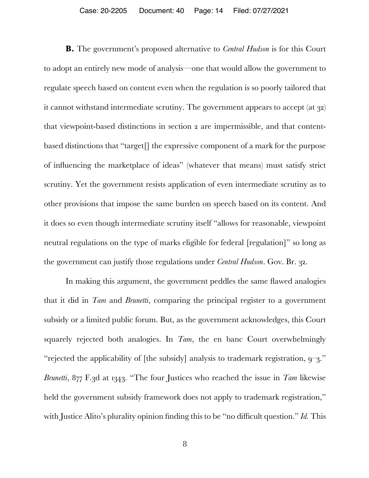**B.** The government's proposed alternative to *Central Hudson* is for this Court to adopt an entirely new mode of analysis—one that would allow the government to regulate speech based on content even when the regulation is so poorly tailored that it cannot withstand intermediate scrutiny. The government appears to accept (at 32) that viewpoint-based distinctions in section 2 are impermissible, and that contentbased distinctions that "target[] the expressive component of a mark for the purpose of influencing the marketplace of ideas" (whatever that means) must satisfy strict scrutiny. Yet the government resists application of even intermediate scrutiny as to other provisions that impose the same burden on speech based on its content. And it does so even though intermediate scrutiny itself "allows for reasonable, viewpoint neutral regulations on the type of marks eligible for federal [regulation]" so long as the government can justify those regulations under *Central Hudson*. Gov. Br. 32.

In making this argument, the government peddles the same flawed analogies that it did in *Tam* and *Brunetti*, comparing the principal register to a government subsidy or a limited public forum. But, as the government acknowledges, this Court squarely rejected both analogies. In *Tam*, the en banc Court overwhelmingly "rejected the applicability of [the subsidy] analysis to trademark registration, 9–3." *Brunetti*, 877 F.3d at 1343. "The four Justices who reached the issue in *Tam* likewise held the government subsidy framework does not apply to trademark registration," with Justice Alito's plurality opinion finding this to be "no difficult question." *Id.* This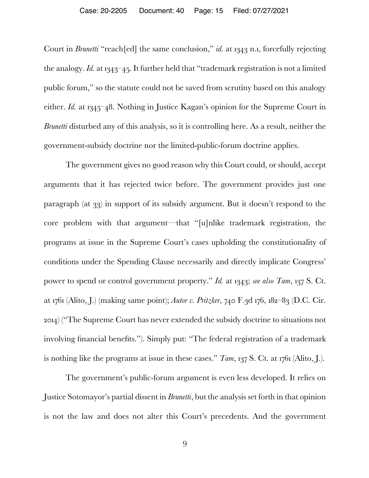Court in *Brunetti* "reach[ed] the same conclusion," *id.* at 1343 n.1, forcefully rejecting the analogy. *Id.* at 1343–45. It further held that "trademark registration is not a limited public forum," so the statute could not be saved from scrutiny based on this analogy either. *Id.* at 1345–48. Nothing in Justice Kagan's opinion for the Supreme Court in *Brunetti* disturbed any of this analysis, so it is controlling here. As a result, neither the government-subsidy doctrine nor the limited-public-forum doctrine applies.

The government gives no good reason why this Court could, or should, accept arguments that it has rejected twice before. The government provides just one paragraph (at 33) in support of its subsidy argument. But it doesn't respond to the core problem with that argument—that "[u]nlike trademark registration, the programs at issue in the Supreme Court's cases upholding the constitutionality of conditions under the Spending Clause necessarily and directly implicate Congress' power to spend or control government property." *Id.* at 1343; *see also Tam*, 137 S. Ct. at 1761 (Alito, J.) (making same point); *Autor v. Pritzker*, 740 F.3d 176, 182–83 (D.C. Cir. 2014) ("The Supreme Court has never extended the subsidy doctrine to situations not involving financial benefits."). Simply put: "The federal registration of a trademark is nothing like the programs at issue in these cases." *Tam*, 137 S. Ct. at 1761 (Alito, J.).

The government's public-forum argument is even less developed. It relies on Justice Sotomayor's partial dissent in *Brunetti*, but the analysis set forth in that opinion is not the law and does not alter this Court's precedents. And the government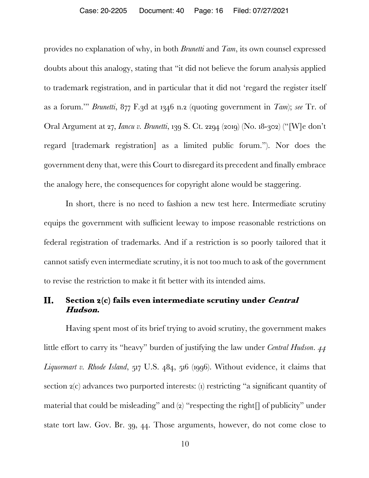provides no explanation of why, in both *Brunetti* and *Tam*, its own counsel expressed doubts about this analogy, stating that "it did not believe the forum analysis applied to trademark registration, and in particular that it did not 'regard the register itself as a forum.'" *Brunetti*, 877 F.3d at 1346 n.2 (quoting government in *Tam*); *see* Tr. of Oral Argument at 27, *Iancu v. Brunetti*, 139 S. Ct. 2294 (2019) (No. 18-302) ("[W]e don't regard [trademark registration] as a limited public forum."). Nor does the government deny that, were this Court to disregard its precedent and finally embrace the analogy here, the consequences for copyright alone would be staggering.

In short, there is no need to fashion a new test here. Intermediate scrutiny equips the government with sufficient leeway to impose reasonable restrictions on federal registration of trademarks. And if a restriction is so poorly tailored that it cannot satisfy even intermediate scrutiny, it is not too much to ask of the government to revise the restriction to make it fit better with its intended aims.

#### II. **Section 2(c) fails even intermediate scrutiny under Central Hudson.**

Having spent most of its brief trying to avoid scrutiny, the government makes little effort to carry its "heavy" burden of justifying the law under *Central Hudson*. *44* Liquormart v. Rhode Island, 517 U.S. 484, 516 (1996). Without evidence, it claims that section 2(c) advances two purported interests: (1) restricting "a significant quantity of material that could be misleading" and (2) "respecting the right $\iint$  of publicity" under state tort law. Gov. Br. 39, 44. Those arguments, however, do not come close to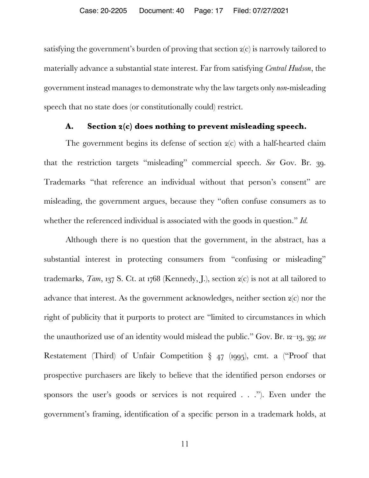satisfying the government's burden of proving that section 2(c) is narrowly tailored to materially advance a substantial state interest. Far from satisfying *Central Hudson*, the government instead manages to demonstrate why the law targets only *non*-misleading speech that no state does (or constitutionally could) restrict.

#### **A. Section 2(c) does nothing to prevent misleading speech.**

The government begins its defense of section 2(c) with a half-hearted claim that the restriction targets "misleading" commercial speech. *See* Gov. Br. 39. Trademarks "that reference an individual without that person's consent" are misleading, the government argues, because they "often confuse consumers as to whether the referenced individual is associated with the goods in question." *Id.*

Although there is no question that the government, in the abstract, has a substantial interest in protecting consumers from "confusing or misleading" trademarks, *Tam*, 137 S. Ct. at 1768 (Kennedy, J.), section 2(c) is not at all tailored to advance that interest. As the government acknowledges, neither section 2(c) nor the right of publicity that it purports to protect are "limited to circumstances in which the unauthorized use of an identity would mislead the public." Gov. Br. 12–13, 39; *see*  Restatement (Third) of Unfair Competition § 47 (1995), cmt. a ("Proof that prospective purchasers are likely to believe that the identified person endorses or sponsors the user's goods or services is not required . . ."). Even under the government's framing, identification of a specific person in a trademark holds, at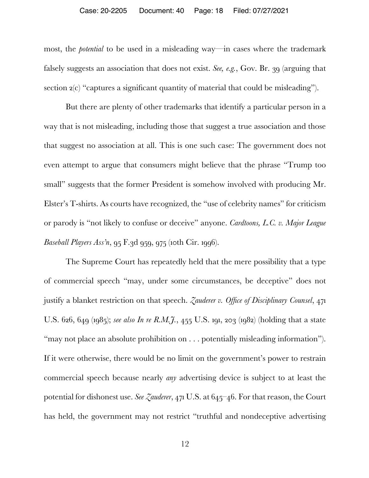#### Case: 20-2205 Document: 40 Page: 18 Filed: 07/27/2021

most, the *potential* to be used in a misleading way—in cases where the trademark falsely suggests an association that does not exist. *See, e.g.*, Gov. Br. 39 (arguing that section  $2(c)$  "captures a significant quantity of material that could be misleading").

But there are plenty of other trademarks that identify a particular person in a way that is not misleading, including those that suggest a true association and those that suggest no association at all. This is one such case: The government does not even attempt to argue that consumers might believe that the phrase "Trump too small" suggests that the former President is somehow involved with producing Mr. Elster's T-shirts. As courts have recognized, the "use of celebrity names" for criticism or parody is "not likely to confuse or deceive" anyone. *Cardtoons, L.C. v. Major League Baseball Players Ass'n*, 95 F.3d 959, 975 (10th Cir. 1996).

The Supreme Court has repeatedly held that the mere possibility that a type of commercial speech "may, under some circumstances, be deceptive" does not justify a blanket restriction on that speech. *Zauderer v. Office of Disciplinary Counsel*, 471 U.S. 626, 649 (1985); *see also In re R.M.J.*, 455 U.S. 191, 203 (1982) (holding that a state "may not place an absolute prohibition on . . . potentially misleading information"). If it were otherwise, there would be no limit on the government's power to restrain commercial speech because nearly *any* advertising device is subject to at least the potential for dishonest use. *See Zauderer*, 471 U.S. at 645–46. For that reason, the Court has held, the government may not restrict "truthful and nondeceptive advertising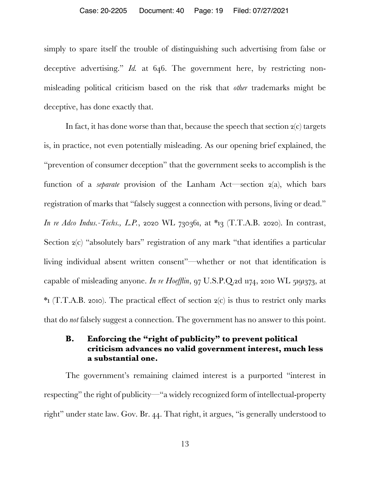simply to spare itself the trouble of distinguishing such advertising from false or deceptive advertising." *Id.* at 646. The government here, by restricting nonmisleading political criticism based on the risk that *other* trademarks might be deceptive, has done exactly that.

In fact, it has done worse than that, because the speech that section  $2(c)$  targets is, in practice, not even potentially misleading. As our opening brief explained, the "prevention of consumer deception" that the government seeks to accomplish is the function of a *separate* provision of the Lanham Act—section 2(a), which bars registration of marks that "falsely suggest a connection with persons, living or dead." *In re Adco Indus.-Techs., L.P.*, 2020 WL 730361, at \*13 (T.T.A.B. 2020). In contrast, Section 2(c) "absolutely bars" registration of any mark "that identifies a particular living individual absent written consent"—whether or not that identification is capable of misleading anyone. *In re Hoefflin*, 97 U.S.P.Q.2d 1174, 2010 WL 5191373, at  $*$ 1 (T.T.A.B. 2010). The practical effect of section  $2(c)$  is thus to restrict only marks that do *not* falsely suggest a connection. The government has no answer to this point.

## **B. Enforcing the "right of publicity" to prevent political criticism advances no valid government interest, much less a substantial one.**

The government's remaining claimed interest is a purported "interest in respecting" the right of publicity—"a widely recognized form of intellectual-property right" under state law. Gov. Br. 44. That right, it argues, "is generally understood to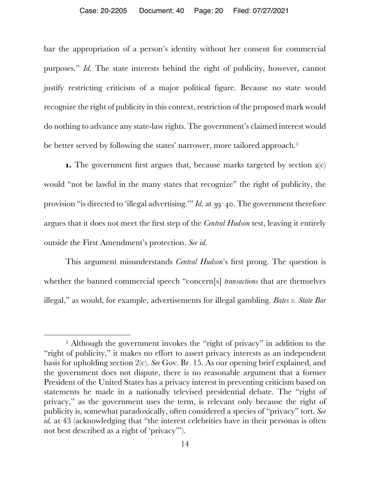#### Case: 20-2205 Document: 40 Page: 20 Filed: 07/27/2021

bar the appropriation of a person's identity without her consent for commercial purposes." *Id.* The state interests behind the right of publicity, however, cannot justify restricting criticism of a major political figure. Because no state would recognize the right of publicity in this context, restriction of the proposed mark would do nothing to advance any state-law rights. The government's claimed interest would be better served by following the states' narrower, more tailored approach.<sup>1</sup>

**1.** The government first argues that, because marks targeted by section  $2(c)$ would "not be lawful in the many states that recognize" the right of publicity, the provision "is directed to 'illegal advertising.'" *Id.* at 39–40. The government therefore argues that it does not meet the first step of the *Central Hudson* test, leaving it entirely outside the First Amendment's protection. *See id.*

This argument misunderstands *Central Hudson*'s first prong. The question is whether the banned commercial speech "concern[s] *transactions* that are themselves illegal," as would, for example, advertisements for illegal gambling. *Bates v. State Bar* 

<sup>&</sup>lt;sup>1</sup> Although the government invokes the "right of privacy" in addition to the "right of publicity," it makes no effort to assert privacy interests as an independent basis for upholding section 2(c). *See* Gov. Br. 15. As our opening brief explained, and the government does not dispute, there is no reasonable argument that a former President of the United States has a privacy interest in preventing criticism based on statements he made in a nationally televised presidential debate. The "right of privacy," as the government uses the term, is relevant only because the right of publicity is, somewhat paradoxically, often considered a species of "privacy" tort. *See id.* at 43 (acknowledging that "the interest celebrities have in their personas is often not best described as a right of 'privacy'").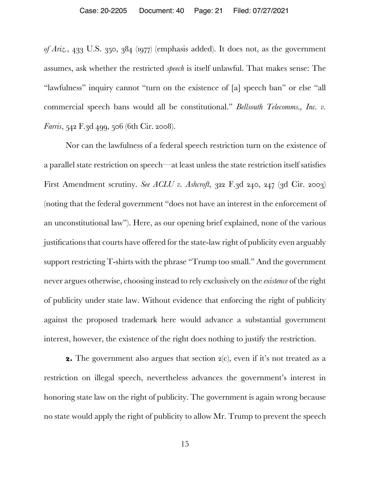*of Ariz.*, 433 U.S. 350, 384 (1977) (emphasis added). It does not, as the government assumes, ask whether the restricted *speech* is itself unlawful. That makes sense: The "lawfulness" inquiry cannot "turn on the existence of [a] speech ban" or else "all commercial speech bans would all be constitutional." *Bellsouth Telecomms., Inc. v. Farris*, 542 F.3d 499, 506 (6th Cir. 2008).

Nor can the lawfulness of a federal speech restriction turn on the existence of a parallel state restriction on speech—at least unless the state restriction itself satisfies First Amendment scrutiny. *See ACLU v. Ashcroft*, 322 F.3d 240, 247 (3d Cir. 2003) (noting that the federal government "does not have an interest in the enforcement of an unconstitutional law"). Here, as our opening brief explained, none of the various justifications that courts have offered for the state-law right of publicity even arguably support restricting T-shirts with the phrase "Trump too small." And the government never argues otherwise, choosing instead to rely exclusively on the *existence* of the right of publicity under state law. Without evidence that enforcing the right of publicity against the proposed trademark here would advance a substantial government interest, however, the existence of the right does nothing to justify the restriction.

**2.** The government also argues that section  $2(c)$ , even if it's not treated as a restriction on illegal speech, nevertheless advances the government's interest in honoring state law on the right of publicity. The government is again wrong because no state would apply the right of publicity to allow Mr. Trump to prevent the speech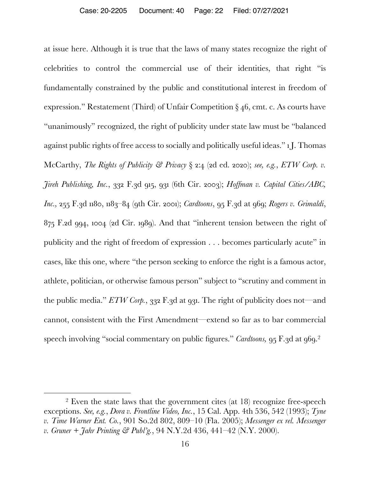at issue here. Although it is true that the laws of many states recognize the right of celebrities to control the commercial use of their identities, that right "is fundamentally constrained by the public and constitutional interest in freedom of expression." Restatement (Third) of Unfair Competition § 46, cmt. c. As courts have "unanimously" recognized, the right of publicity under state law must be "balanced against public rights of free access to socially and politically useful ideas." 1 J. Thomas McCarthy, *The Rights of Publicity & Privacy* § 2:4 (2d ed. 2020); *see, e.g.*, *ETW Corp. v. Jireh Publishing, Inc.*, 332 F.3d 915, 931 (6th Cir. 2003); *Hoffman v. Capital Cities/ABC, Inc.,* 255 F.3d 1180, 1183–84 (9th Cir. 2001); *Cardtoons*, 95 F.3d at 969; *Rogers v. Grimaldi*, 875 F.2d 994, 1004 (2d Cir. 1989). And that "inherent tension between the right of publicity and the right of freedom of expression . . . becomes particularly acute" in cases, like this one, where "the person seeking to enforce the right is a famous actor, athlete, politician, or otherwise famous person" subject to "scrutiny and comment in the public media." *ETW Corp.*, 332 F.3d at 931. The right of publicity does not—and cannot, consistent with the First Amendment—extend so far as to bar commercial speech involving "social commentary on public figures." *Cardtoons*, 95 F.3d at 969.<sup>2</sup>

<sup>2</sup> Even the state laws that the government cites (at 18) recognize free-speech exceptions. *See, e.g.*, *Dora v. Frontline Video, Inc.*, 15 Cal. App. 4th 536, 542 (1993); *Tyne v. Time Warner Ent. Co.*, 901 So.2d 802, 809–10 (Fla. 2005); *Messenger ex rel. Messenger v. Gruner + Jahr Printing & Publ'g.*, 94 N.Y.2d 436, 441–42 (N.Y. 2000).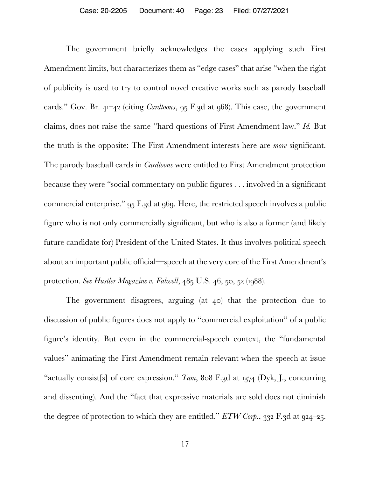The government briefly acknowledges the cases applying such First Amendment limits, but characterizes them as "edge cases" that arise "when the right of publicity is used to try to control novel creative works such as parody baseball cards." Gov. Br. 41–42 (citing *Cardtoons*, 95 F.3d at 968). This case, the government claims, does not raise the same "hard questions of First Amendment law." *Id.* But the truth is the opposite: The First Amendment interests here are *more* significant. The parody baseball cards in *Cardtoons* were entitled to First Amendment protection because they were "social commentary on public figures . . . involved in a significant commercial enterprise." 95 F.3d at 969. Here, the restricted speech involves a public figure who is not only commercially significant, but who is also a former (and likely future candidate for) President of the United States. It thus involves political speech about an important public official—speech at the very core of the First Amendment's protection. *See Hustler Magazine v. Falwell*, 485 U.S. 46, 50, 52 (1988).

The government disagrees, arguing (at 40) that the protection due to discussion of public figures does not apply to "commercial exploitation" of a public figure's identity. But even in the commercial-speech context, the "fundamental values" animating the First Amendment remain relevant when the speech at issue "actually consist<sup>[s]</sup> of core expression." *Tam*, 808 F.3d at 1374 (Dyk, J., concurring and dissenting). And the "fact that expressive materials are sold does not diminish the degree of protection to which they are entitled." *ETW Corp.*, 332 F.3d at 924–25.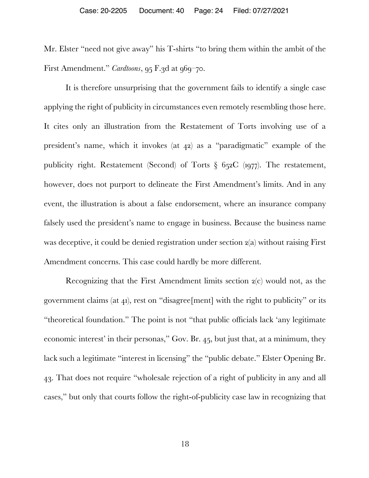Mr. Elster "need not give away" his T-shirts "to bring them within the ambit of the First Amendment." *Cardtoons*, 95 F.3d at 969–70.

It is therefore unsurprising that the government fails to identify a single case applying the right of publicity in circumstances even remotely resembling those here. It cites only an illustration from the Restatement of Torts involving use of a president's name, which it invokes (at 42) as a "paradigmatic" example of the publicity right. Restatement (Second) of Torts § 652C (1977). The restatement, however, does not purport to delineate the First Amendment's limits. And in any event, the illustration is about a false endorsement, where an insurance company falsely used the president's name to engage in business. Because the business name was deceptive, it could be denied registration under section 2(a) without raising First Amendment concerns. This case could hardly be more different.

Recognizing that the First Amendment limits section 2(c) would not, as the government claims (at 41), rest on "disagree[ment] with the right to publicity" or its "theoretical foundation." The point is not "that public officials lack 'any legitimate economic interest' in their personas," Gov. Br. 45, but just that, at a minimum, they lack such a legitimate "interest in licensing" the "public debate." Elster Opening Br. 43. That does not require "wholesale rejection of a right of publicity in any and all cases," but only that courts follow the right-of-publicity case law in recognizing that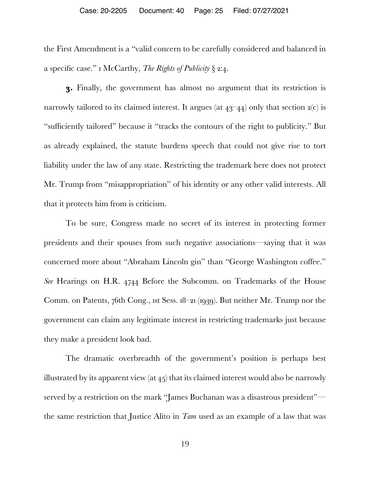the First Amendment is a "valid concern to be carefully considered and balanced in a specific case." 1 McCarthy, *The Rights of Publicity* § 2:4.

**3.** Finally, the government has almost no argument that its restriction is narrowly tailored to its claimed interest. It argues (at  $43-44$ ) only that section  $2(c)$  is "sufficiently tailored" because it "tracks the contours of the right to publicity." But as already explained, the statute burdens speech that could not give rise to tort liability under the law of any state. Restricting the trademark here does not protect Mr. Trump from "misappropriation" of his identity or any other valid interests. All that it protects him from is criticism.

To be sure, Congress made no secret of its interest in protecting former presidents and their spouses from such negative associations—saying that it was concerned more about "Abraham Lincoln gin" than "George Washington coffee." *See* Hearings on H.R. 4744 Before the Subcomm. on Trademarks of the House Comm. on Patents, 76th Cong., 1st Sess. 18–21 (1939). But neither Mr. Trump nor the government can claim any legitimate interest in restricting trademarks just because they make a president look bad.

The dramatic overbreadth of the government's position is perhaps best illustrated by its apparent view (at  $45$ ) that its claimed interest would also be narrowly served by a restriction on the mark "James Buchanan was a disastrous president" the same restriction that Justice Alito in *Tam* used as an example of a law that was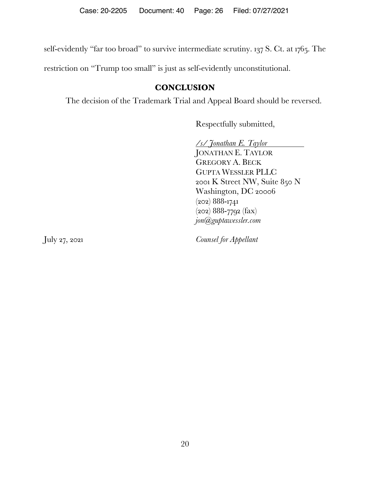self-evidently "far too broad" to survive intermediate scrutiny. 137 S. Ct. at 1765. The

restriction on "Trump too small" is just as self-evidently unconstitutional.

## **CONCLUSION**

The decision of the Trademark Trial and Appeal Board should be reversed.

Respectfully submitted,

*/s/ Jonathan E. Taylor* JONATHAN E. TAYLOR GREGORY A. BECK GUPTA WESSLER PLLC 2001 K Street NW, Suite 850 N Washington, DC 20006 (202) 888-1741 (202) 888-7792 (fax) *jon@guptawessler.com*

July 27, 2021 *Counsel for Appellant*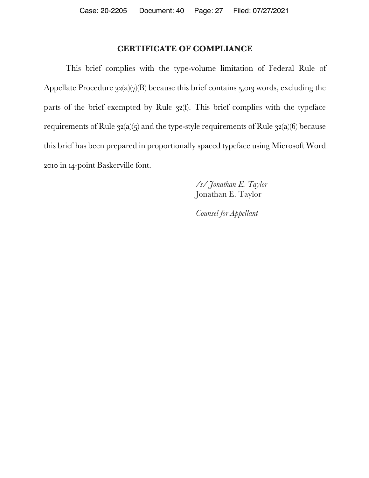### **CERTIFICATE OF COMPLIANCE**

This brief complies with the type-volume limitation of Federal Rule of Appellate Procedure  $32(a)(7)(B)$  because this brief contains 5,013 words, excluding the parts of the brief exempted by Rule 32(f). This brief complies with the typeface requirements of Rule  $32(a)(5)$  and the type-style requirements of Rule  $32(a)(6)$  because this brief has been prepared in proportionally spaced typeface using Microsoft Word 2010 in 14-point Baskerville font.

> */s/ Jonathan E. Taylor* Jonathan E. Taylor

*Counsel for Appellant*